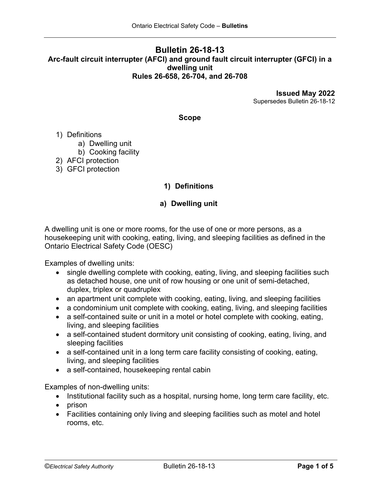# **Bulletin 26-18-13 Arc-fault circuit interrupter (AFCI) and ground fault circuit interrupter (GFCI) in a dwelling unit Rules 26-658, 26-704, and 26-708**

**Issued May 2022** Supersedes Bulletin 26-18-12

### **Scope**

- 1) Definitions
	- a) Dwelling unit
	- b) Cooking facility
- 2) AFCI protection
- 3) GFCI protection

# **1) Definitions**

# **a) Dwelling unit**

A dwelling unit is one or more rooms, for the use of one or more persons, as a housekeeping unit with cooking, eating, living, and sleeping facilities as defined in the Ontario Electrical Safety Code (OESC)

Examples of dwelling units:

- single dwelling complete with cooking, eating, living, and sleeping facilities such as detached house, one unit of row housing or one unit of semi-detached, duplex, triplex or quadruplex
- an apartment unit complete with cooking, eating, living, and sleeping facilities
- a condominium unit complete with cooking, eating, living, and sleeping facilities
- a self-contained suite or unit in a motel or hotel complete with cooking, eating, living, and sleeping facilities
- a self-contained student dormitory unit consisting of cooking, eating, living, and sleeping facilities
- a self-contained unit in a long term care facility consisting of cooking, eating, living, and sleeping facilities
- a self-contained, housekeeping rental cabin

Examples of non-dwelling units:

- Institutional facility such as a hospital, nursing home, long term care facility, etc.
- prison
- Facilities containing only living and sleeping facilities such as motel and hotel rooms, etc.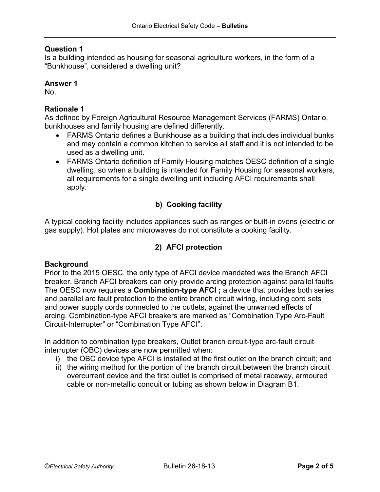# **Question 1**

Is a building intended as housing for seasonal agriculture workers, in the form of a "Bunkhouse", considered a dwelling unit?

# **Answer 1**

No.

# **Rationale 1**

As defined by Foreign Agricultural Resource Management Services (FARMS) Ontario, bunkhouses and family housing are defined differently.

- FARMS Ontario defines a Bunkhouse as a building that includes individual bunks and may contain a common kitchen to service all staff and it is not intended to be used as a dwelling unit.
- FARMS Ontario definition of Family Housing matches OESC definition of a single dwelling, so when a building is intended for Family Housing for seasonal workers, all requirements for a single dwelling unit including AFCI requirements shall apply.

# **b) Cooking facility**

A typical cooking facility includes appliances such as ranges or built-in ovens (electric or gas supply). Hot plates and microwaves do not constitute a cooking facility.

# **2) AFCI protection**

# **Background**

Prior to the 2015 OESC, the only type of AFCI device mandated was the Branch AFCI breaker. Branch AFCI breakers can only provide arcing protection against parallel faults The OESC now requires a **Combination-type AFCI ;** a device that provides both series and parallel arc fault protection to the entire branch circuit wiring, including cord sets and power supply cords connected to the outlets, against the unwanted effects of arcing. Combination-type AFCI breakers are marked as "Combination Type Arc-Fault Circuit-Interrupter" or "Combination Type AFCI".

In addition to combination type breakers, Outlet branch circuit-type arc-fault circuit interrupter (OBC) devices are now permitted when:

- i) the OBC device type AFCI is installed at the first outlet on the branch circuit; and
- ii) the wiring method for the portion of the branch circuit between the branch circuit overcurrent device and the first outlet is comprised of metal raceway, armoured cable or non-metallic conduit or tubing as shown below in Diagram B1.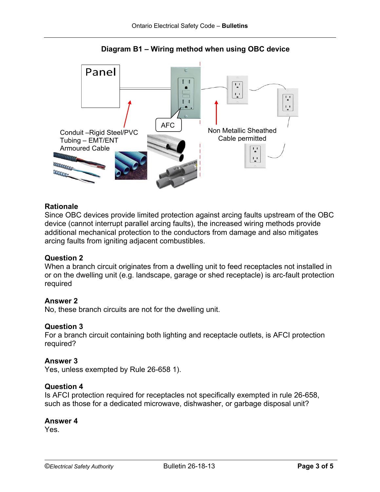

## **Diagram B1 – Wiring method when using OBC device**

## **Rationale**

Since OBC devices provide limited protection against arcing faults upstream of the OBC device (cannot interrupt parallel arcing faults), the increased wiring methods provide additional mechanical protection to the conductors from damage and also mitigates arcing faults from igniting adjacent combustibles.

### **Question 2**

When a branch circuit originates from a dwelling unit to feed receptacles not installed in or on the dwelling unit (e.g. landscape, garage or shed receptacle) is arc-fault protection required

### **Answer 2**

No, these branch circuits are not for the dwelling unit.

#### **Question 3**

For a branch circuit containing both lighting and receptacle outlets, is AFCI protection required?

#### **Answer 3**

Yes, unless exempted by Rule 26-658 1).

### **Question 4**

Is AFCI protection required for receptacles not specifically exempted in rule 26-658, such as those for a dedicated microwave, dishwasher, or garbage disposal unit?

#### **Answer 4**

Yes.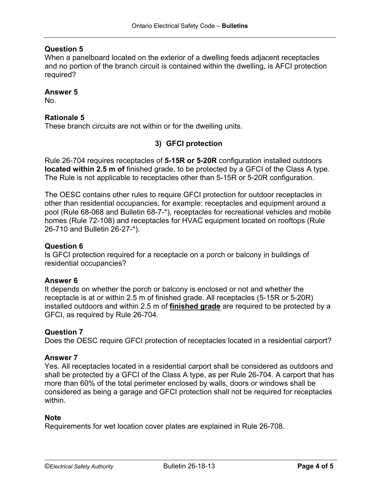# **Question 5**

When a panelboard located on the exterior of a dwelling feeds adjacent receptacles and no portion of the branch circuit is contained within the dwelling, is AFCI protection required?

# **Answer 5**

No.

# **Rationale 5**

These branch circuits are not within or for the dwelling units.

# **3) GFCI protection**

Rule 26-704 requires receptacles of **5-15R or 5-20R** configuration installed outdoors **located within 2.5 m of** finished grade, to be protected by a GFCI of the Class A type. The Rule is not applicable to receptacles other than 5-15R or 5-20R configuration.

The OESC contains other rules to require GFCI protection for outdoor receptacles in other than residential occupancies, for example: receptacles and equipment around a pool (Rule 68-068 and Bulletin 68-7-\*), receptacles for recreational vehicles and mobile homes (Rule 72-108) and receptacles for HVAC equipment located on rooftops (Rule 26-710 and Bulletin 26-27-\*).

### **Question 6**

Is GFCI protection required for a receptacle on a porch or balcony in buildings of residential occupancies?

### **Answer 6**

It depends on whether the porch or balcony is enclosed or not and whether the receptacle is at or within 2.5 m of finished grade. All receptacles (5-15R or 5-20R) installed outdoors and within 2.5 m of **finished grade** are required to be protected by a GFCI, as required by Rule 26-704.

### **Question 7**

Does the OESC require GFCI protection of receptacles located in a residential carport?

### **Answer 7**

Yes. All receptacles located in a residential carport shall be considered as outdoors and shall be protected by a GFCI of the Class A type, as per Rule 26-704. A carport that has more than 60% of the total perimeter enclosed by walls, doors or windows shall be considered as being a garage and GFCI protection shall not be required for receptacles within.

### **Note**

Requirements for wet location cover plates are explained in Rule 26-708.